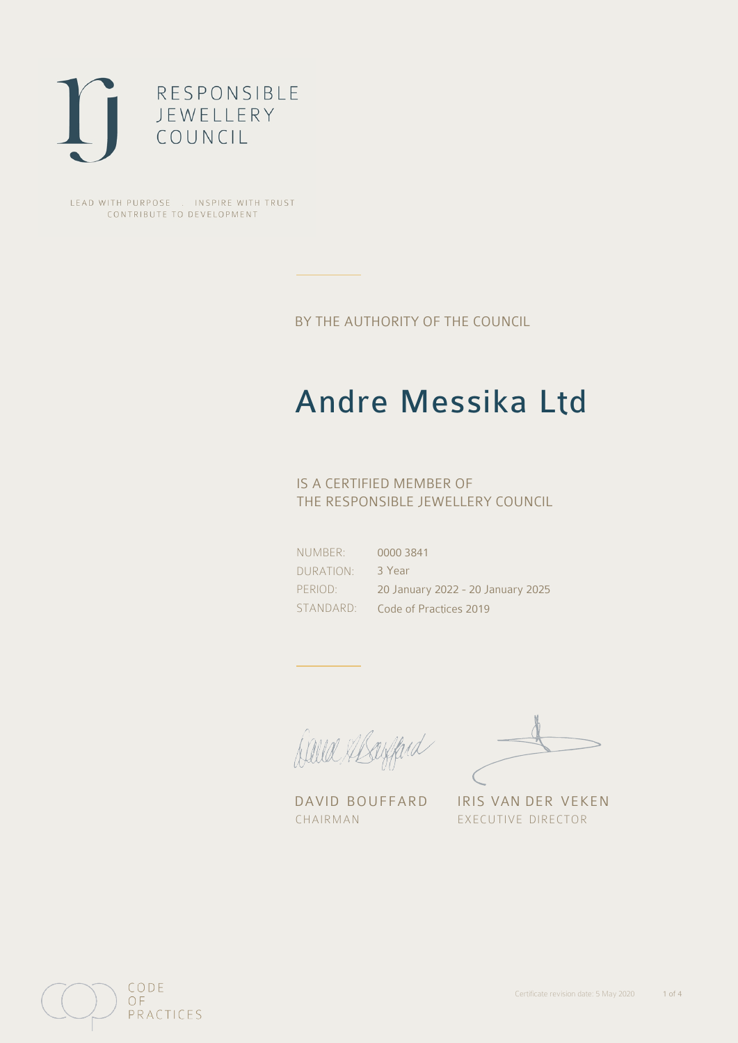

LEAD WITH PURPOSE . INSPIRE WITH TRUST CONTRIBUTE TO DEVELOPMENT

BY THE AUTHORITY OF THE COUNCIL

# Andre Messika Ltd

## IS A CERTIFIED MEMBER OF THE RESPONSIBLE JEWELLERY COUNCIL

NUMBER: DURATION: PERIOD: STANDARD: 0000 3841 3 Year 20 January 2022 - 20 January 2025 Code of Practices 2019

Balla Margard

DAVID BOUFFARD IRIS VAN DER VEKEN CHAIRMAN EXECUTIVE DIRECTOR

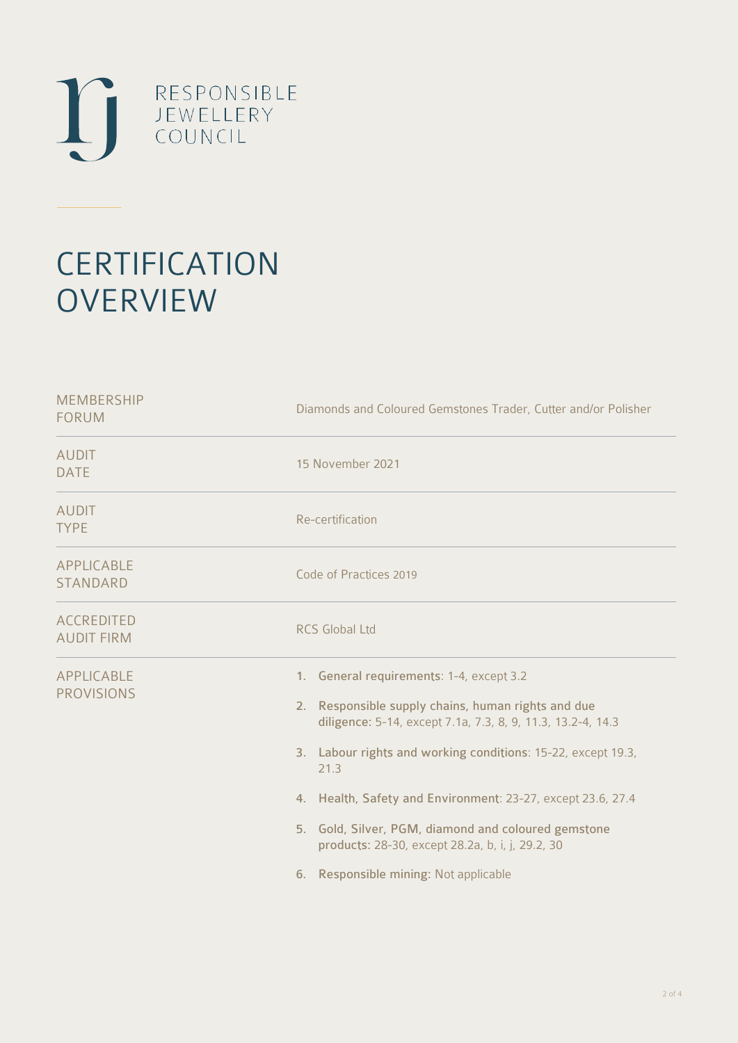

# **CERTIFICATION OVERVIEW**

| Diamonds and Coloured Gemstones Trader, Cutter and/or Polisher                                                                                                                                                                                                                                                                                                                                                                                           |
|----------------------------------------------------------------------------------------------------------------------------------------------------------------------------------------------------------------------------------------------------------------------------------------------------------------------------------------------------------------------------------------------------------------------------------------------------------|
| 15 November 2021                                                                                                                                                                                                                                                                                                                                                                                                                                         |
| Re-certification                                                                                                                                                                                                                                                                                                                                                                                                                                         |
| Code of Practices 2019                                                                                                                                                                                                                                                                                                                                                                                                                                   |
| <b>RCS Global Ltd</b>                                                                                                                                                                                                                                                                                                                                                                                                                                    |
| 1. General requirements: 1-4, except 3.2<br>2. Responsible supply chains, human rights and due<br>diligence: 5-14, except 7.1a, 7.3, 8, 9, 11.3, 13.2-4, 14.3<br>3. Labour rights and working conditions: 15-22, except 19.3,<br>21.3<br>4. Health, Safety and Environment: 23-27, except 23.6, 27.4<br>5. Gold, Silver, PGM, diamond and coloured gemstone<br>products: 28-30, except 28.2a, b, i, j, 29.2, 30<br>6. Responsible mining: Not applicable |
|                                                                                                                                                                                                                                                                                                                                                                                                                                                          |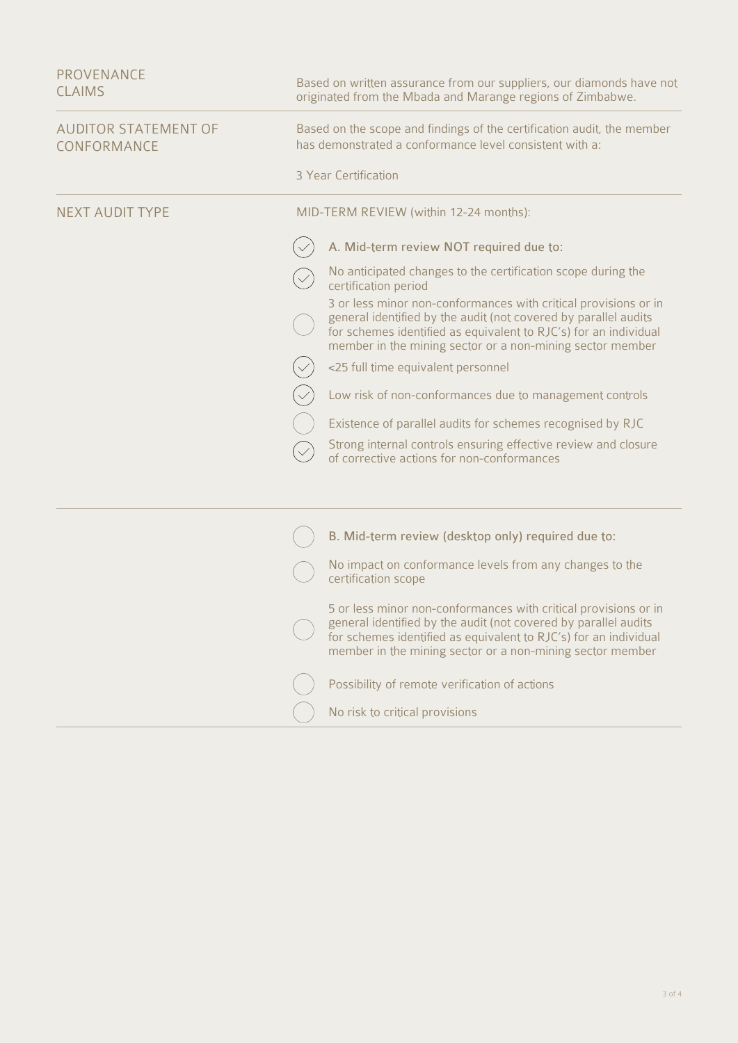| <b>PROVENANCE</b><br><b>CLAIMS</b>         | Based on written assurance from our suppliers, our diamonds have not<br>originated from the Mbada and Marange regions of Zimbabwe.                                                                                                                                                                                                                                                                                                                                                                                                                                                                                                                                                    |
|--------------------------------------------|---------------------------------------------------------------------------------------------------------------------------------------------------------------------------------------------------------------------------------------------------------------------------------------------------------------------------------------------------------------------------------------------------------------------------------------------------------------------------------------------------------------------------------------------------------------------------------------------------------------------------------------------------------------------------------------|
| <b>AUDITOR STATEMENT OF</b><br>CONFORMANCE | Based on the scope and findings of the certification audit, the member<br>has demonstrated a conformance level consistent with a:<br>3 Year Certification                                                                                                                                                                                                                                                                                                                                                                                                                                                                                                                             |
| <b>NEXT AUDIT TYPE</b>                     | MID-TERM REVIEW (within 12-24 months):                                                                                                                                                                                                                                                                                                                                                                                                                                                                                                                                                                                                                                                |
|                                            | A. Mid-term review NOT required due to:<br>No anticipated changes to the certification scope during the<br>certification period<br>3 or less minor non-conformances with critical provisions or in<br>general identified by the audit (not covered by parallel audits<br>for schemes identified as equivalent to RJC's) for an individual<br>member in the mining sector or a non-mining sector member<br><25 full time equivalent personnel<br>Low risk of non-conformances due to management controls<br>Existence of parallel audits for schemes recognised by RJC<br>Strong internal controls ensuring effective review and closure<br>of corrective actions for non-conformances |
|                                            | B. Mid-term review (desktop only) required due to:<br>No impact on conformance levels from any changes to the<br>certification scope<br>5 or less minor non-conformances with critical provisions or in<br>general identified by the audit (not covered by parallel audits<br>for schemes identified as equivalent to RJC's) for an individual<br>member in the mining sector or a non-mining sector member<br>Possibility of remote verification of actions<br>No risk to critical provisions                                                                                                                                                                                        |